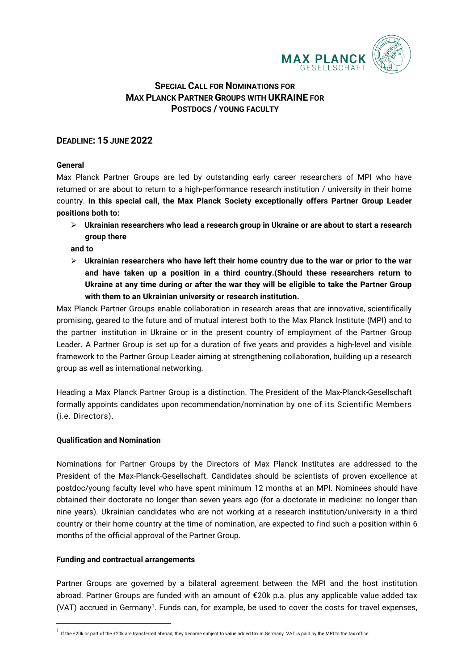

# **SPECIAL CALL FOR NOMINATIONS FOR MAX PLANCK PARTNER GROUPS WITH UKRAINE FOR POSTDOCS / YOUNG FACULTY**

# **DEADLINE: 15 JUNE 2022**

# **General**

Max Planck Partner Groups are led by outstanding early career researchers of MPI who have returned or are about to return to a high-performance research institution / university in their home country. **In this special call, the Max Planck Society exceptionally offers Partner Group Leader positions both to:** 

 **Ukrainian researchers who lead a research group in Ukraine or are about to start a research group there** 

**and to** 

 **Ukrainian researchers who have left their home country due to the war or prior to the war and have taken up a position in a third country.(Should these researchers return to Ukraine at any time during or after the war they will be eligible to take the Partner Group with them to an Ukrainian university or research institution.** 

Max Planck Partner Groups enable collaboration in research areas that are innovative, scientifically promising, geared to the future and of mutual interest both to the Max Planck Institute (MPI) and to the partner institution in Ukraine or in the present country of employment of the Partner Group Leader. A Partner Group is set up for a duration of five years and provides a high-level and visible framework to the Partner Group Leader aiming at strengthening collaboration, building up a research group as well as international networking.

Heading a Max Planck Partner Group is a distinction. The President of the Max-Planck-Gesellschaft formally appoints candidates upon recommendation/nomination by one of its Scientific Members (i.e. Directors).

### **Qualification and Nomination**

Nominations for Partner Groups by the Directors of Max Planck Institutes are addressed to the President of the Max-Planck-Gesellschaft. Candidates should be scientists of proven excellence at postdoc/young faculty level who have spent minimum 12 months at an MPI. Nominees should have obtained their doctorate no longer than seven years ago (for a doctorate in medicine: no longer than nine years). Ukrainian candidates who are not working at a research institution/university in a third country or their home country at the time of nomination, are expected to find such a position within 6 months of the official approval of the Partner Group.

### **Funding and contractual arrangements**

 $\overline{a}$ 

Partner Groups are governed by a bilateral agreement between the MPI and the host institution abroad. Partner Groups are funded with an amount of €20k p.a. plus any applicable value added tax (VAT) accrued in Germany<sup>[1](#page-0-0)</sup>. Funds can, for example, be used to cover the costs for travel expenses,

<span id="page-0-0"></span><sup>1</sup> If the €20k or part of the €20k are transferred abroad, they become subject to value added tax in Germany. VAT is paid by the MPI to the tax office.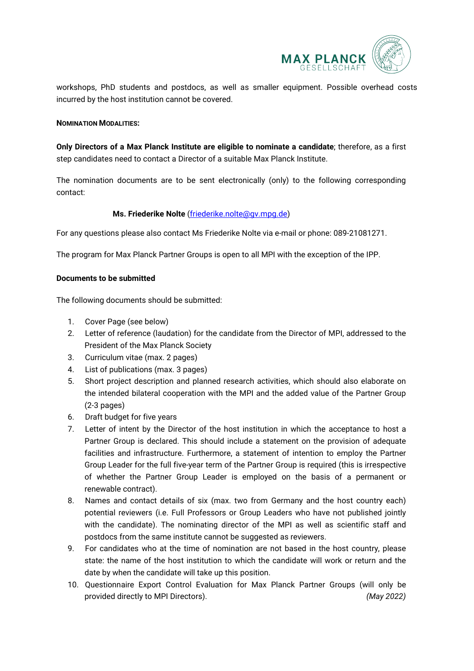

workshops, PhD students and postdocs, as well as smaller equipment. Possible overhead costs incurred by the host institution cannot be covered.

#### **NOMINATION MODALITIES:**

**Only Directors of a Max Planck Institute are eligible to nominate a candidate**; therefore, as a first step candidates need to contact a Director of a suitable Max Planck Institute.

The nomination documents are to be sent electronically (only) to the following corresponding contact:

### **Ms. Friederike Nolte** [\(friederike.nolte@gv.mpg.de\)](mailto:friederike.nolte@gv.mpg.de)

For any questions please also contact Ms Friederike Nolte via e-mail or phone: 089-21081271.

The program for Max Planck Partner Groups is open to all MPI with the exception of the IPP.

#### **Documents to be submitted**

The following documents should be submitted:

- 1. Cover Page (see below)
- 2. Letter of reference (laudation) for the candidate from the Director of MPI, addressed to the President of the Max Planck Society
- 3. Curriculum vitae (max. 2 pages)
- 4. List of publications (max. 3 pages)
- 5. Short project description and planned research activities, which should also elaborate on the intended bilateral cooperation with the MPI and the added value of the Partner Group (2-3 pages)
- 6. Draft budget for five years
- 7. Letter of intent by the Director of the host institution in which the acceptance to host a Partner Group is declared. This should include a statement on the provision of adequate facilities and infrastructure. Furthermore, a statement of intention to employ the Partner Group Leader for the full five-year term of the Partner Group is required (this is irrespective of whether the Partner Group Leader is employed on the basis of a permanent or renewable contract).
- 8. Names and contact details of six (max. two from Germany and the host country each) potential reviewers (i.e. Full Professors or Group Leaders who have not published jointly with the candidate). The nominating director of the MPI as well as scientific staff and postdocs from the same institute cannot be suggested as reviewers.
- 9. For candidates who at the time of nomination are not based in the host country, please state: the name of the host institution to which the candidate will work or return and the date by when the candidate will take up this position.
- 10. Questionnaire Export Control Evaluation for Max Planck Partner Groups (will only be provided directly to MPI Directors). *(May 2022)*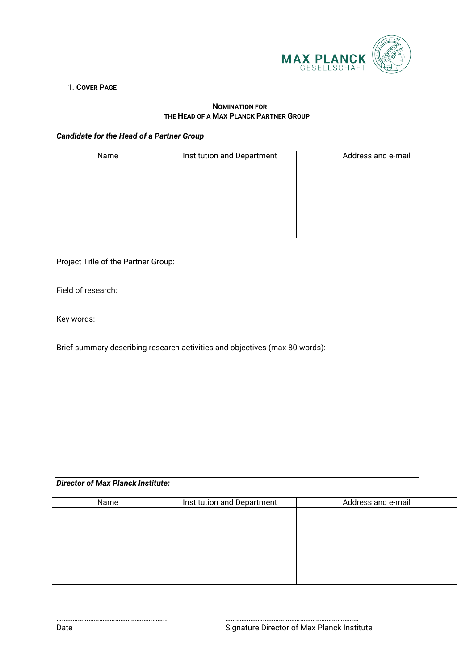

# 1. **COVER PAGE**

#### **NOMINATION FOR THE HEAD OF A MAX PLANCK PARTNER GROUP**

## *Candidate for the Head of a Partner Group*

| Name | Institution and Department | Address and e-mail |  |  |  |
|------|----------------------------|--------------------|--|--|--|
|      |                            |                    |  |  |  |
|      |                            |                    |  |  |  |
|      |                            |                    |  |  |  |
|      |                            |                    |  |  |  |
|      |                            |                    |  |  |  |
|      |                            |                    |  |  |  |
|      |                            |                    |  |  |  |

Project Title of the Partner Group:

Field of research:

Key words:

Brief summary describing research activities and objectives (max 80 words):

# *Director of Max Planck Institute:*

| Name | Institution and Department | Address and e-mail |  |  |
|------|----------------------------|--------------------|--|--|
|      |                            |                    |  |  |
|      |                            |                    |  |  |
|      |                            |                    |  |  |
|      |                            |                    |  |  |
|      |                            |                    |  |  |
|      |                            |                    |  |  |
|      |                            |                    |  |  |

…………………………………………………….. ………………………………………………………………… Date **Signature Director of Max Planck Institute**